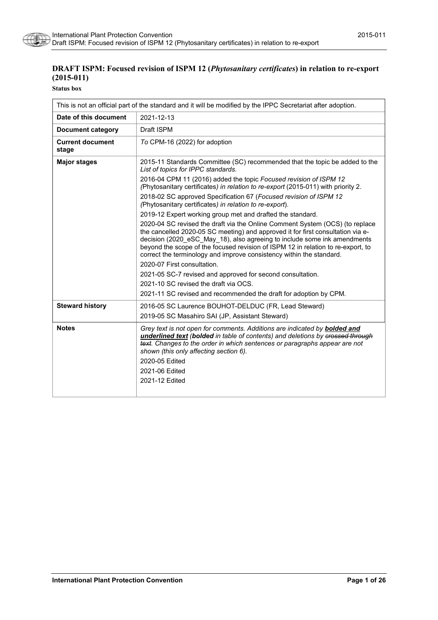

# **DRAFT ISPM: Focused revision of ISPM 12 (***Phytosanitary certificates***) in relation to re-export (2015-011)**

**Status box**

| This is not an official part of the standard and it will be modified by the IPPC Secretariat after adoption. |                                                                                                                                                                                                                                                                                                                                                                                                                                        |  |
|--------------------------------------------------------------------------------------------------------------|----------------------------------------------------------------------------------------------------------------------------------------------------------------------------------------------------------------------------------------------------------------------------------------------------------------------------------------------------------------------------------------------------------------------------------------|--|
| Date of this document                                                                                        | 2021-12-13                                                                                                                                                                                                                                                                                                                                                                                                                             |  |
| <b>Document category</b>                                                                                     | Draft ISPM                                                                                                                                                                                                                                                                                                                                                                                                                             |  |
| <b>Current document</b><br>stage                                                                             | To CPM-16 (2022) for adoption                                                                                                                                                                                                                                                                                                                                                                                                          |  |
| <b>Major stages</b>                                                                                          | 2015-11 Standards Committee (SC) recommended that the topic be added to the<br>List of topics for IPPC standards.                                                                                                                                                                                                                                                                                                                      |  |
|                                                                                                              | 2016-04 CPM 11 (2016) added the topic Focused revision of ISPM 12<br>(Phytosanitary certificates) in relation to re-export (2015-011) with priority 2.                                                                                                                                                                                                                                                                                 |  |
|                                                                                                              | 2018-02 SC approved Specification 67 (Focused revision of ISPM 12<br>(Phytosanitary certificates) in relation to re-export).                                                                                                                                                                                                                                                                                                           |  |
|                                                                                                              | 2019-12 Expert working group met and drafted the standard.                                                                                                                                                                                                                                                                                                                                                                             |  |
|                                                                                                              | 2020-04 SC revised the draft via the Online Comment System (OCS) (to replace<br>the cancelled 2020-05 SC meeting) and approved it for first consultation via e-<br>decision (2020 eSC May 18), also agreeing to include some ink amendments<br>beyond the scope of the focused revision of ISPM 12 in relation to re-export, to<br>correct the terminology and improve consistency within the standard.<br>2020-07 First consultation. |  |
|                                                                                                              | 2021-05 SC-7 revised and approved for second consultation.                                                                                                                                                                                                                                                                                                                                                                             |  |
|                                                                                                              | 2021-10 SC revised the draft via OCS.                                                                                                                                                                                                                                                                                                                                                                                                  |  |
|                                                                                                              | 2021-11 SC revised and recommended the draft for adoption by CPM.                                                                                                                                                                                                                                                                                                                                                                      |  |
| <b>Steward history</b>                                                                                       | 2016-05 SC Laurence BOUHOT-DELDUC (FR, Lead Steward)<br>2019-05 SC Masahiro SAI (JP, Assistant Steward)                                                                                                                                                                                                                                                                                                                                |  |
| <b>Notes</b>                                                                                                 | Grey text is not open for comments. Additions are indicated by <b>bolded and</b><br>underlined text (bolded in table of contents) and deletions by crossed through<br>text. Changes to the order in which sentences or paragraphs appear are not<br>shown (this only affecting section 6).<br>2020-05 Edited<br>2021-06 Edited<br>2021-12 Edited                                                                                       |  |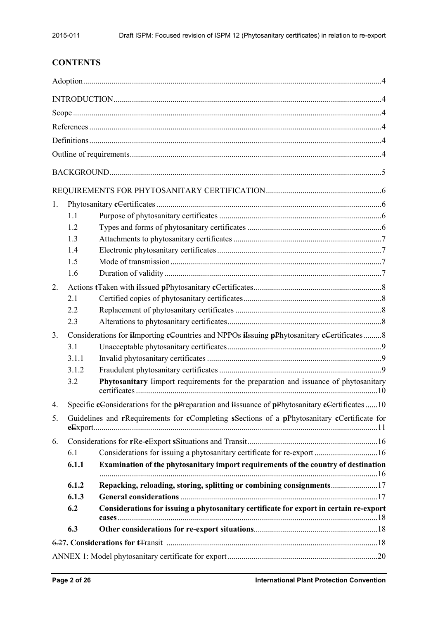# **CONTENTS**

| 1. |              |                                                                                               |  |
|----|--------------|-----------------------------------------------------------------------------------------------|--|
|    | 1.1          |                                                                                               |  |
|    | 1.2          |                                                                                               |  |
|    | 1.3          |                                                                                               |  |
|    | 1.4          |                                                                                               |  |
|    | 1.5          |                                                                                               |  |
|    | 1.6          |                                                                                               |  |
| 2. |              |                                                                                               |  |
|    | 2.1          |                                                                                               |  |
|    | 2.2          |                                                                                               |  |
|    | 2.3          |                                                                                               |  |
| 3. |              | Considerations for iImporting cCountries and NPPOs iIssuing pPhytosanitary cCertificates8     |  |
|    | 3.1          |                                                                                               |  |
|    | 3.1.1        |                                                                                               |  |
|    | 3.1.2        |                                                                                               |  |
|    | 3.2          | Phytosanitary Import requirements for the preparation and issuance of phytosanitary           |  |
| 4. |              | Specific cConsiderations for the pPreparation and iIssuance of pPhytosanitary cCertificates10 |  |
| 5. |              | Guidelines and rRequirements for cCompleting sSections of a pPhytosanitary cCertificate for   |  |
| 6. |              |                                                                                               |  |
|    | 6.1          | Considerations for issuing a phytosanitary certificate for re-export 16                       |  |
|    | 6.1.1        | Examination of the phytosanitary import requirements of the country of destination            |  |
|    |              |                                                                                               |  |
|    | 6.1.2        | Repacking, reloading, storing, splitting or combining consignments                            |  |
|    | 6.1.3<br>6.2 | Considerations for issuing a phytosanitary certificate for export in certain re-export        |  |
|    |              |                                                                                               |  |
|    | 6.3          |                                                                                               |  |
|    |              |                                                                                               |  |
|    |              |                                                                                               |  |
|    |              |                                                                                               |  |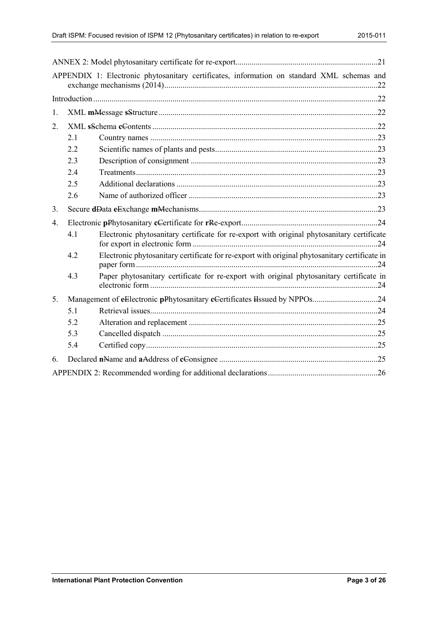|    |     | APPENDIX 1: Electronic phytosanitary certificates, information on standard XML schemas and    |  |
|----|-----|-----------------------------------------------------------------------------------------------|--|
|    |     |                                                                                               |  |
| 1. |     |                                                                                               |  |
| 2. |     |                                                                                               |  |
|    | 2.1 |                                                                                               |  |
|    | 2.2 |                                                                                               |  |
|    | 2.3 |                                                                                               |  |
|    | 2.4 |                                                                                               |  |
|    | 2.5 |                                                                                               |  |
|    | 2.6 |                                                                                               |  |
| 3. |     |                                                                                               |  |
| 4. |     |                                                                                               |  |
|    | 4.1 | Electronic phytosanitary certificate for re-export with original phytosanitary certificate    |  |
|    | 4.2 | Electronic phytosanitary certificate for re-export with original phytosanitary certificate in |  |
|    | 4.3 | Paper phytosanitary certificate for re-export with original phytosanitary certificate in      |  |
| 5. |     |                                                                                               |  |
|    | 5.1 |                                                                                               |  |
|    | 5.2 |                                                                                               |  |
|    | 5.3 |                                                                                               |  |
|    | 5.4 |                                                                                               |  |
| 6. |     |                                                                                               |  |
|    |     |                                                                                               |  |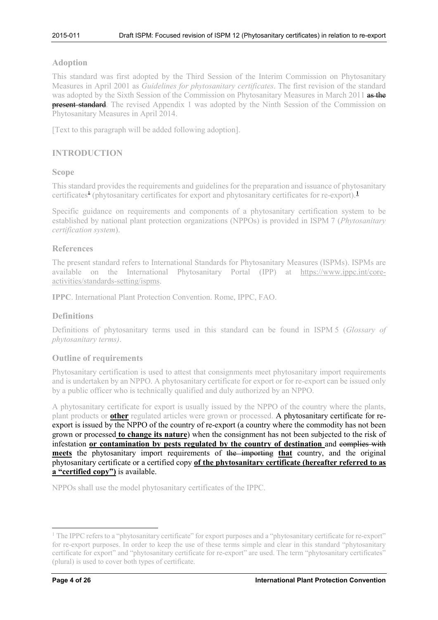### <span id="page-3-0"></span>**Adoption**

This standard was first adopted by the Third Session of the Interim Commission on Phytosanitary Measures in April 2001 as *Guidelines for phytosanitary certificates*. The first revision of the standard was adopted by the Sixth Session of the Commission on Phytosanitary Measures in March 2011 as the **present standard**. The revised Appendix 1 was adopted by the Ninth Session of the Commission on Phytosanitary Measures in April 2014.

[Text to this paragraph will be added following adoption].

# <span id="page-3-1"></span>**INTRODUCTION**

### <span id="page-3-2"></span>**Scope**

This standard provides the requirements and guidelines for the preparation and issuance of phytosanitary certificates<sup>[1](#page-3-6)</sup> (phytosanitary certificates for export and phytosanitary certificates for re-export).<sup>1</sup>

Specific guidance on requirements and components of a phytosanitary certification system to be established by national plant protection organizations (NPPOs) is provided in ISPM 7 (*Phytosanitary certification system*).

### <span id="page-3-3"></span>**References**

The present standard refers to International Standards for Phytosanitary Measures (ISPMs). ISPMs are available on the International Phytosanitary Portal (IPP) at [https://www.ippc.int/core](https://www.ippc.int/core-activities/standards-setting/ispms)[activities/standards-setting/ispms.](https://www.ippc.int/core-activities/standards-setting/ispms)

**IPPC**. International Plant Protection Convention. Rome, IPPC, FAO.

# <span id="page-3-4"></span>**Definitions**

Definitions of phytosanitary terms used in this standard can be found in ISPM 5 (*Glossary of phytosanitary terms)*.

### <span id="page-3-5"></span>**Outline of requirements**

Phytosanitary certification is used to attest that consignments meet phytosanitary import requirements and is undertaken by an NPPO. A phytosanitary certificate for export or for re-export can be issued only by a public officer who is technically qualified and duly authorized by an NPPO.

A phytosanitary certificate for export is usually issued by the NPPO of the country where the plants, plant products or **other** regulated articles were grown or processed. A phytosanitary certificate for reexport is issued by the NPPO of the country of re-export (a country where the commodity has not been grown or processed **to change its nature**) when the consignment has not been subjected to the risk of infestation **or contamination by pests regulated by the country of destination** and complies with **meets** the phytosanitary import requirements of the importing **that** country, and the original phytosanitary certificate or a certified copy **of the phytosanitary certificate (hereafter referred to as a "certified copy")** is available.

NPPOs shall use the model phytosanitary certificates of the IPPC.

<span id="page-3-6"></span><sup>&</sup>lt;sup>1</sup> The IPPC refers to a "phytosanitary certificate" for export purposes and a "phytosanitary certificate for re-export" for re-export purposes. In order to keep the use of these terms simple and clear in this standard "phytosanitary certificate for export" and "phytosanitary certificate for re-export" are used. The term "phytosanitary certificates" (plural) is used to cover both types of certificate.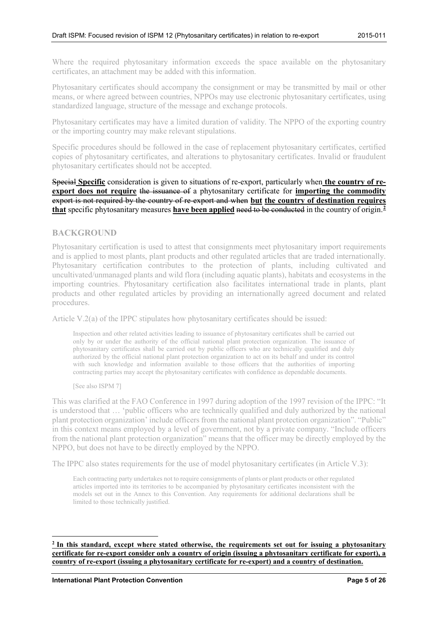Where the required phytosanitary information exceeds the space available on the phytosanitary certificates, an attachment may be added with this information.

Phytosanitary certificates should accompany the consignment or may be transmitted by mail or other means, or where agreed between countries, NPPOs may use electronic phytosanitary certificates, using standardized language, structure of the message and exchange protocols.

Phytosanitary certificates may have a limited duration of validity. The NPPO of the exporting country or the importing country may make relevant stipulations.

Specific procedures should be followed in the case of replacement phytosanitary certificates, certified copies of phytosanitary certificates, and alterations to phytosanitary certificates. Invalid or fraudulent phytosanitary certificates should not be accepted.

Special **Specific** consideration is given to situations of re-export, particularly when **the country of reexport does not require** the issuance of a phytosanitary certificate for **importing** the **commodity** export is not required by the country of re-export and when **but the country of destination requires that** specific phytosanitary measures **have been applied** need to be conducted in the country of origin. **[2](#page-4-1)**

### <span id="page-4-0"></span>**BACKGROUND**

Phytosanitary certification is used to attest that consignments meet phytosanitary import requirements and is applied to most plants, plant products and other regulated articles that are traded internationally. Phytosanitary certification contributes to the protection of plants, including cultivated and uncultivated/unmanaged plants and wild flora (including aquatic plants), habitats and ecosystems in the importing countries. Phytosanitary certification also facilitates international trade in plants, plant products and other regulated articles by providing an internationally agreed document and related procedures.

Article V.2(a) of the IPPC stipulates how phytosanitary certificates should be issued:

Inspection and other related activities leading to issuance of phytosanitary certificates shall be carried out only by or under the authority of the official national plant protection organization. The issuance of phytosanitary certificates shall be carried out by public officers who are technically qualified and duly authorized by the official national plant protection organization to act on its behalf and under its control with such knowledge and information available to those officers that the authorities of importing contracting parties may accept the phytosanitary certificates with confidence as dependable documents.

[See also ISPM 7]

This was clarified at the FAO Conference in 1997 during adoption of the 1997 revision of the IPPC: "It is understood that … 'public officers who are technically qualified and duly authorized by the national plant protection organization' include officers from the national plant protection organization". "Public" in this context means employed by a level of government, not by a private company. "Include officers from the national plant protection organization" means that the officer may be directly employed by the NPPO, but does not have to be directly employed by the NPPO.

The IPPC also states requirements for the use of model phytosanitary certificates (in Article V.3):

Each contracting party undertakes not to require consignments of plants or plant products or other regulated articles imported into its territories to be accompanied by phytosanitary certificates inconsistent with the models set out in the Annex to this Convention. Any requirements for additional declarations shall be limited to those technically justified.

<u>.</u>

<span id="page-4-1"></span>**<sup>2</sup> In this standard, except where stated otherwise, the requirements set out for issuing a phytosanitary certificate for re-export consider only a country of origin (issuing a phytosanitary certificate for export), a country of re-export (issuing a phytosanitary certificate for re-export) and a country of destination.**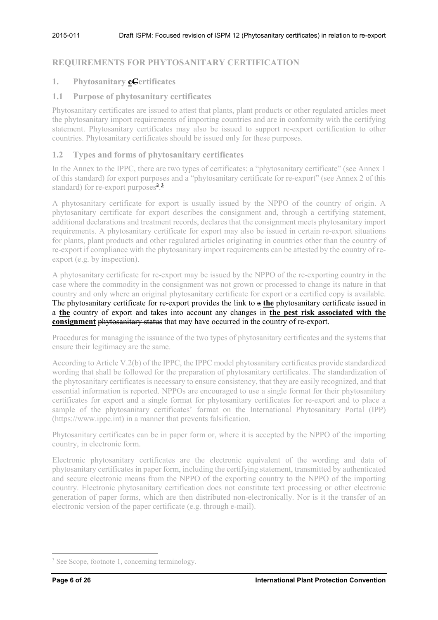# <span id="page-5-0"></span>**REQUIREMENTS FOR PHYTOSANITARY CERTIFICATION**

# <span id="page-5-1"></span>**1. Phytosanitary cCertificates**

# <span id="page-5-2"></span>**1.1 Purpose of phytosanitary certificates**

Phytosanitary certificates are issued to attest that plants, plant products or other regulated articles meet the phytosanitary import requirements of importing countries and are in conformity with the certifying statement. Phytosanitary certificates may also be issued to support re-export certification to other countries. Phytosanitary certificates should be issued only for these purposes.

## <span id="page-5-3"></span>**1.2 Types and forms of phytosanitary certificates**

In the Annex to the IPPC, there are two types of certificates: a "phytosanitary certificate" (see Annex 1 of this standard) for export purposes and a "phytosanitary certificate for re-export" (see Annex 2 of this standard) for re-export purposes<sup>2</sup>.<sup>[3](#page-5-4)</sup>

A phytosanitary certificate for export is usually issued by the NPPO of the country of origin. A phytosanitary certificate for export describes the consignment and, through a certifying statement, additional declarations and treatment records, declares that the consignment meets phytosanitary import requirements. A phytosanitary certificate for export may also be issued in certain re-export situations for plants, plant products and other regulated articles originating in countries other than the country of re-export if compliance with the phytosanitary import requirements can be attested by the country of reexport (e.g. by inspection).

A phytosanitary certificate for re-export may be issued by the NPPO of the re-exporting country in the case where the commodity in the consignment was not grown or processed to change its nature in that country and only where an original phytosanitary certificate for export or a certified copy is available. The phytosanitary certificate for re-export provides the link to a **the** phytosanitary certificate issued in a **the** country of export and takes into account any changes in **the pest risk associated with the consignment** phytosanitary status that may have occurred in the country of re-export.

Procedures for managing the issuance of the two types of phytosanitary certificates and the systems that ensure their legitimacy are the same.

According to Article V.2(b) of the IPPC, the IPPC model phytosanitary certificates provide standardized wording that shall be followed for the preparation of phytosanitary certificates. The standardization of the phytosanitary certificates is necessary to ensure consistency, that they are easily recognized, and that essential information is reported. NPPOs are encouraged to use a single format for their phytosanitary certificates for export and a single format for phytosanitary certificates for re-export and to place a sample of the phytosanitary certificates' format on the International Phytosanitary Portal (IPP) (https://www.ippc.int) in a manner that prevents falsification.

Phytosanitary certificates can be in paper form or, where it is accepted by the NPPO of the importing country, in electronic form.

Electronic phytosanitary certificates are the electronic equivalent of the wording and data of phytosanitary certificates in paper form, including the certifying statement, transmitted by authenticated and secure electronic means from the NPPO of the exporting country to the NPPO of the importing country. Electronic phytosanitary certification does not constitute text processing or other electronic generation of paper forms, which are then distributed non-electronically. Nor is it the transfer of an electronic version of the paper certificate (e.g. through e-mail).

<span id="page-5-4"></span><sup>&</sup>lt;sup>3</sup> See Scope, footnote 1, concerning terminology.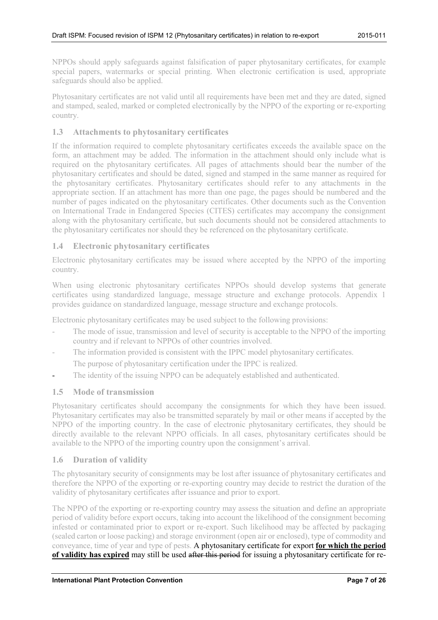NPPOs should apply safeguards against falsification of paper phytosanitary certificates, for example special papers, watermarks or special printing. When electronic certification is used, appropriate safeguards should also be applied.

Phytosanitary certificates are not valid until all requirements have been met and they are dated, signed and stamped, sealed, marked or completed electronically by the NPPO of the exporting or re-exporting country.

# <span id="page-6-0"></span>**1.3 Attachments to phytosanitary certificates**

If the information required to complete phytosanitary certificates exceeds the available space on the form, an attachment may be added. The information in the attachment should only include what is required on the phytosanitary certificates. All pages of attachments should bear the number of the phytosanitary certificates and should be dated, signed and stamped in the same manner as required for the phytosanitary certificates. Phytosanitary certificates should refer to any attachments in the appropriate section. If an attachment has more than one page, the pages should be numbered and the number of pages indicated on the phytosanitary certificates. Other documents such as the Convention on International Trade in Endangered Species (CITES) certificates may accompany the consignment along with the phytosanitary certificate, but such documents should not be considered attachments to the phytosanitary certificates nor should they be referenced on the phytosanitary certificate.

# <span id="page-6-1"></span>**1.4 Electronic phytosanitary certificates**

Electronic phytosanitary certificates may be issued where accepted by the NPPO of the importing country.

When using electronic phytosanitary certificates NPPOs should develop systems that generate certificates using standardized language, message structure and exchange protocols. Appendix 1 provides guidance on standardized language, message structure and exchange protocols.

Electronic phytosanitary certificates may be used subject to the following provisions:

- The mode of issue, transmission and level of security is acceptable to the NPPO of the importing country and if relevant to NPPOs of other countries involved.
- The information provided is consistent with the IPPC model phytosanitary certificates.

The purpose of phytosanitary certification under the IPPC is realized.

The identity of the issuing NPPO can be adequately established and authenticated.

# <span id="page-6-2"></span>**1.5 Mode of transmission**

Phytosanitary certificates should accompany the consignments for which they have been issued. Phytosanitary certificates may also be transmitted separately by mail or other means if accepted by the NPPO of the importing country. In the case of electronic phytosanitary certificates, they should be directly available to the relevant NPPO officials. In all cases, phytosanitary certificates should be available to the NPPO of the importing country upon the consignment's arrival.

# <span id="page-6-3"></span>**1.6 Duration of validity**

The phytosanitary security of consignments may be lost after issuance of phytosanitary certificates and therefore the NPPO of the exporting or re-exporting country may decide to restrict the duration of the validity of phytosanitary certificates after issuance and prior to export.

The NPPO of the exporting or re-exporting country may assess the situation and define an appropriate period of validity before export occurs, taking into account the likelihood of the consignment becoming infested or contaminated prior to export or re-export. Such likelihood may be affected by packaging (sealed carton or loose packing) and storage environment (open air or enclosed), type of commodity and conveyance, time of year and type of pests. A phytosanitary certificate for export **for which the period of validity has expired** may still be used after this period for issuing a phytosanitary certificate for re-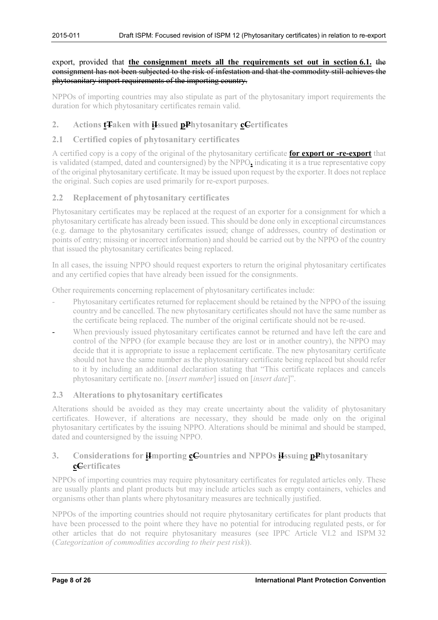### export, provided that **the consignment meets all the requirements set out in section 6.1.** the consignment has not been subjected to the risk of infestation and that the commodity still achieves the phytosanitary import requirements of the importing country.

NPPOs of importing countries may also stipulate as part of the phytosanitary import requirements the duration for which phytosanitary certificates remain valid.

# <span id="page-7-0"></span>**2. Actions tTaken with iIssued pPhytosanitary cCertificates**

# <span id="page-7-1"></span>**2.1 Certified copies of phytosanitary certificates**

A certified copy is a copy of the original of the phytosanitary certificate **for export or -re-export** that is validated (stamped, dated and countersigned) by the NPPO**,** indicating it is a true representative copy of the original phytosanitary certificate. It may be issued upon request by the exporter. It does not replace the original. Such copies are used primarily for re-export purposes.

# <span id="page-7-2"></span>**2.2 Replacement of phytosanitary certificates**

Phytosanitary certificates may be replaced at the request of an exporter for a consignment for which a phytosanitary certificate has already been issued. This should be done only in exceptional circumstances (e.g. damage to the phytosanitary certificates issued; change of addresses, country of destination or points of entry; missing or incorrect information) and should be carried out by the NPPO of the country that issued the phytosanitary certificates being replaced.

In all cases, the issuing NPPO should request exporters to return the original phytosanitary certificates and any certified copies that have already been issued for the consignments.

Other requirements concerning replacement of phytosanitary certificates include:

- Phytosanitary certificates returned for replacement should be retained by the NPPO of the issuing country and be cancelled. The new phytosanitary certificates should not have the same number as the certificate being replaced. The number of the original certificate should not be re-used.
- When previously issued phytosanitary certificates cannot be returned and have left the care and control of the NPPO (for example because they are lost or in another country), the NPPO may decide that it is appropriate to issue a replacement certificate. The new phytosanitary certificate should not have the same number as the phytosanitary certificate being replaced but should refer to it by including an additional declaration stating that "This certificate replaces and cancels phytosanitary certificate no. [*insert number*] issued on [*insert date*]".

# <span id="page-7-3"></span>**2.3 Alterations to phytosanitary certificates**

Alterations should be avoided as they may create uncertainty about the validity of phytosanitary certificates. However, if alterations are necessary, they should be made only on the original phytosanitary certificates by the issuing NPPO. Alterations should be minimal and should be stamped, dated and countersigned by the issuing NPPO.

# <span id="page-7-4"></span>**3. Considerations for iImporting cCountries and NPPOs iIssuing pPhytosanitary cCertificates**

NPPOs of importing countries may require phytosanitary certificates for regulated articles only. These are usually plants and plant products but may include articles such as empty containers, vehicles and organisms other than plants where phytosanitary measures are technically justified.

NPPOs of the importing countries should not require phytosanitary certificates for plant products that have been processed to the point where they have no potential for introducing regulated pests, or for other articles that do not require phytosanitary measures (see IPPC Article VI.2 and ISPM 32 (*Categorization of commodities according to their pest risk*)).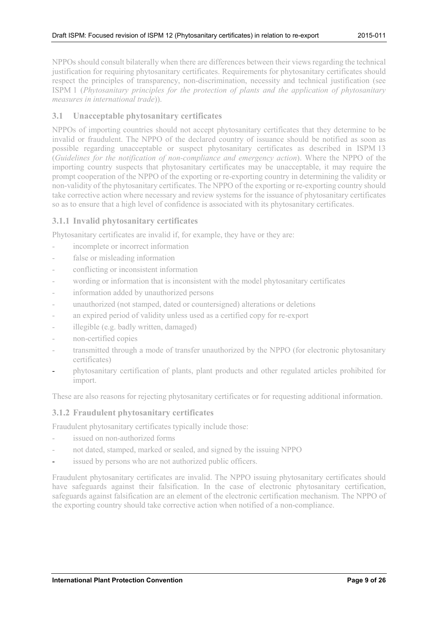NPPOs should consult bilaterally when there are differences between their views regarding the technical justification for requiring phytosanitary certificates. Requirements for phytosanitary certificates should respect the principles of transparency, non-discrimination, necessity and technical justification (see ISPM 1 (*Phytosanitary principles for the protection of plants and the application of phytosanitary measures in international trade*)).

# <span id="page-8-0"></span>**3.1 Unacceptable phytosanitary certificates**

NPPOs of importing countries should not accept phytosanitary certificates that they determine to be invalid or fraudulent. The NPPO of the declared country of issuance should be notified as soon as possible regarding unacceptable or suspect phytosanitary certificates as described in ISPM 13 (*Guidelines for the notification of non-compliance and emergency action*). Where the NPPO of the importing country suspects that phytosanitary certificates may be unacceptable, it may require the prompt cooperation of the NPPO of the exporting or re-exporting country in determining the validity or non-validity of the phytosanitary certificates. The NPPO of the exporting or re-exporting country should take corrective action where necessary and review systems for the issuance of phytosanitary certificates so as to ensure that a high level of confidence is associated with its phytosanitary certificates.

# <span id="page-8-1"></span>**3.1.1 Invalid phytosanitary certificates**

Phytosanitary certificates are invalid if, for example, they have or they are:

- incomplete or incorrect information
- false or misleading information
- conflicting or inconsistent information
- wording or information that is inconsistent with the model phytosanitary certificates
- information added by unauthorized persons
- unauthorized (not stamped, dated or countersigned) alterations or deletions
- an expired period of validity unless used as a certified copy for re-export
- illegible (e.g. badly written, damaged)
- non-certified copies
- transmitted through a mode of transfer unauthorized by the NPPO (for electronic phytosanitary certificates)
- phytosanitary certification of plants, plant products and other regulated articles prohibited for import.

These are also reasons for rejecting phytosanitary certificates or for requesting additional information.

### <span id="page-8-2"></span>**3.1.2 Fraudulent phytosanitary certificates**

Fraudulent phytosanitary certificates typically include those:

- issued on non-authorized forms
- not dated, stamped, marked or sealed, and signed by the issuing NPPO
- issued by persons who are not authorized public officers.

Fraudulent phytosanitary certificates are invalid. The NPPO issuing phytosanitary certificates should have safeguards against their falsification. In the case of electronic phytosanitary certification, safeguards against falsification are an element of the electronic certification mechanism. The NPPO of the exporting country should take corrective action when notified of a non-compliance.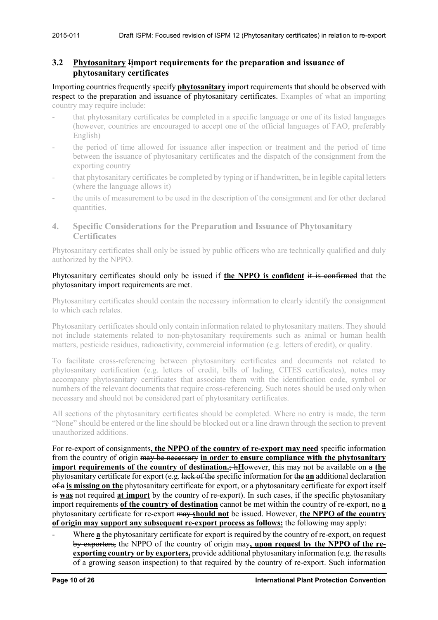# <span id="page-9-0"></span>**3.2 Phytosanitary** I**import requirements for the preparation and issuance of phytosanitary certificates**

Importing countries frequently specify **phytosanitary** import requirements that should be observed with respect to the preparation and issuance of phytosanitary certificates. Examples of what an importing country may require include:

- that phytosanitary certificates be completed in a specific language or one of its listed languages (however, countries are encouraged to accept one of the official languages of FAO, preferably English)
- the period of time allowed for issuance after inspection or treatment and the period of time between the issuance of phytosanitary certificates and the dispatch of the consignment from the exporting country
- that phytosanitary certificates be completed by typing or if handwritten, be in legible capital letters (where the language allows it)
- the units of measurement to be used in the description of the consignment and for other declared quantities.
- <span id="page-9-1"></span>**4. Specific Considerations for the Preparation and Issuance of Phytosanitary Certificates**

Phytosanitary certificates shall only be issued by public officers who are technically qualified and duly authorized by the NPPO.

### Phytosanitary certificates should only be issued if **the NPPO is confident** it is confirmed that the phytosanitary import requirements are met.

Phytosanitary certificates should contain the necessary information to clearly identify the consignment to which each relates.

Phytosanitary certificates should only contain information related to phytosanitary matters. They should not include statements related to non-phytosanitary requirements such as animal or human health matters, pesticide residues, radioactivity, commercial information (e.g. letters of credit), or quality.

To facilitate cross-referencing between phytosanitary certificates and documents not related to phytosanitary certification (e.g. letters of credit, bills of lading, CITES certificates), notes may accompany phytosanitary certificates that associate them with the identification code, symbol or numbers of the relevant documents that require cross-referencing. Such notes should be used only when necessary and should not be considered part of phytosanitary certificates.

All sections of the phytosanitary certificates should be completed. Where no entry is made, the term "None" should be entered or the line should be blocked out or a line drawn through the section to prevent unauthorized additions.

For re-export of consignments**, the NPPO of the country of re-export may need** specific information from the country of origin may be necessary **in order to ensure compliance with the phytosanitary import requirements of the country of destination.; hHowever, this may not be available on a the** phytosanitary certificate for export (e.g. lack of the specific information for the **an** additional declaration of a **is missing on the** phytosanitary certificate for export, or a phytosanitary certificate for export itself is **was** not required **at import** by the country of re-export). In such cases, if the specific phytosanitary import requirements of the country of destination cannot be met within the country of re-export, no **a** phytosanitary certificate for re-export may **should not** be issued. However, **the NPPO of the country of origin may support any subsequent re-export process as follows:** the following may apply:

Where **a** the phytosanitary certificate for export is required by the country of re-export, on request by exporters, the NPPO of the country of origin may**, upon request by the NPPO of the reexporting country or by exporters,** provide additional phytosanitary information (e.g. the results of a growing season inspection) to that required by the country of re-export. Such information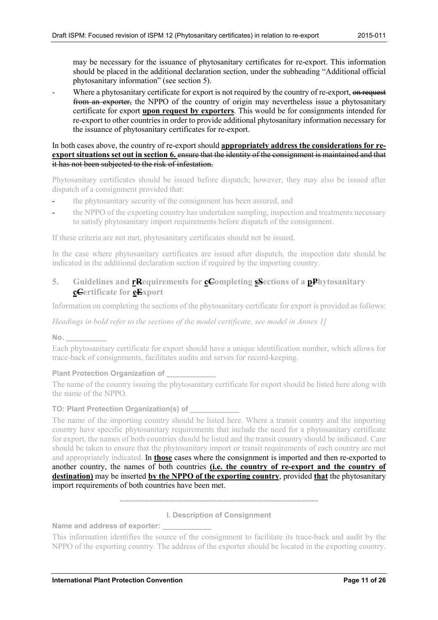may be necessary for the issuance of phytosanitary certificates for re-export. This information should be placed in the additional declaration section, under the subheading "Additional official phytosanitary information" (see section 5).

Where a phytosanitary certificate for export is not required by the country of re-export, on request from an exporter, the NPPO of the country of origin may nevertheless issue a phytosanitary certificate for export **upon request by exporters**. This would be for consignments intended for re-export to other countries in order to provide additional phytosanitary information necessary for the issuance of phytosanitary certificates for re-export.

#### In both cases above, the country of re-export should **appropriately address the considerations for reexport situations set out in section 6.** ensure that the identity of the consignment is maintained and that it has not been subjected to the risk of infestation.

Phytosanitary certificates should be issued before dispatch; however, they may also be issued after dispatch of a consignment provided that:

- the phytosanitary security of the consignment has been assured, and
- the NPPO of the exporting country has undertaken sampling, inspection and treatments necessary to satisfy phytosanitary import requirements before dispatch of the consignment.

If these criteria are not met, phytosanitary certificates should not be issued.

In the case where phytosanitary certificates are issued after dispatch, the inspection date should be indicated in the additional declaration section if required by the importing country.

# <span id="page-10-0"></span>**5. Guidelines and rRequirements for cCompleting sSections of a pPhytosanitary cCertificate for eExport**

Information on completing the sections of the phytosanitary certificate for export is provided as follows:

*Headings in bold refer to the sections of the model certificate, see model in Annex 1]*

**No. \_\_\_\_\_\_\_\_\_\_**

Each phytosanitary certificate for export should have a unique identification number, which allows for trace-back of consignments, facilitates audits and serves for record-keeping.

### **Plant Protection Organization of \_\_\_\_\_\_\_\_\_\_\_\_**

The name of the country issuing the phytosanitary certificate for export should be listed here along with the name of the NPPO.

### **TO: Plant Protection Organization(s) of \_\_\_\_\_\_\_\_\_\_\_\_**

The name of the importing country should be listed here. Where a transit country and the importing country have specific phytosanitary requirements that include the need for a phytosanitary certificate for export, the names of both countries should be listed and the transit country should be indicated. Care should be taken to ensure that the phytosanitary import or transit requirements of each country are met and appropriately indicated. In **those** cases where the consignment is imported and then re-exported to another country, the names of both countries **(i.e. the country of re-export and the country of destination)** may be inserted **by the NPPO of the exporting country**, provided **that** the phytosanitary import requirements of both countries have been met.

#### **------------------------------------------------------------------------------------------**

#### **I. Description of Consignment**

Name and address of exporter:

This information identifies the source of the consignment to facilitate its trace-back and audit by the NPPO of the exporting country. The address of the exporter should be located in the exporting country.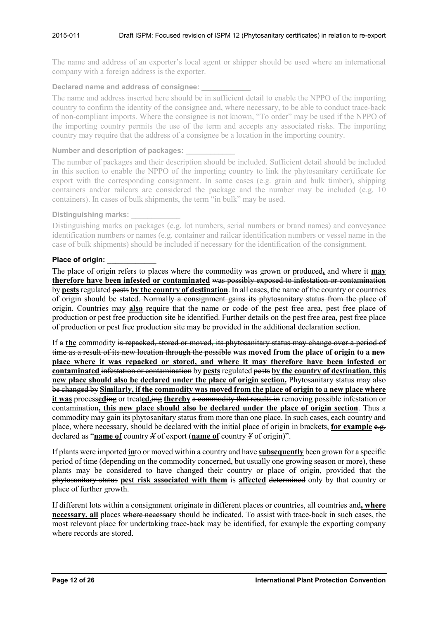The name and address of an exporter's local agent or shipper should be used where an international company with a foreign address is the exporter.

#### **Declared name and address of consignee: \_\_\_\_\_\_\_\_\_\_\_\_**

The name and address inserted here should be in sufficient detail to enable the NPPO of the importing country to confirm the identity of the consignee and, where necessary, to be able to conduct trace-back of non-compliant imports. Where the consignee is not known, "To order" may be used if the NPPO of the importing country permits the use of the term and accepts any associated risks. The importing country may require that the address of a consignee be a location in the importing country.

#### **Number and description of packages: \_\_\_\_\_\_\_\_\_\_\_\_**

The number of packages and their description should be included. Sufficient detail should be included in this section to enable the NPPO of the importing country to link the phytosanitary certificate for export with the corresponding consignment. In some cases (e.g. grain and bulk timber), shipping containers and/or railcars are considered the package and the number may be included (e.g. 10 containers). In cases of bulk shipments, the term "in bulk" may be used.

#### **Distinguishing marks: \_\_\_\_\_\_\_\_\_\_\_\_**

Distinguishing marks on packages (e.g. lot numbers, serial numbers or brand names) and conveyance identification numbers or names (e.g. container and railcar identification numbers or vessel name in the case of bulk shipments) should be included if necessary for the identification of the consignment.

#### **Place of origin:**

The place of origin refers to places where the commodity was grown or produced**,** and where it **may therefore have been infested or contaminated** was possibly exposed to infestation or contamination by **pests** regulated pests **by the country of destination**. In all cases, the name of the country or countries of origin should be stated. Normally a consignment gains its phytosanitary status from the place of origin. Countries may **also** require that the name or code of the pest free area, pest free place of production or pest free production site be identified. Further details on the pest free area, pest free place of production or pest free production site may be provided in the additional declaration section.

If a **the** commodity is repacked, stored or moved, its phytosanitary status may change over a period of time as a result of its new location through the possible **was moved from the place of origin to a new place where it was repacked or stored, and where it may therefore have been infested or contaminated** infestation or contamination by **pests** regulated pests **by the country of destination, this new place should also be declared under the place of origin section.** Phytosanitary status may also be changed by **Similarly, if the commodity was moved from the place of origin to a new place where it was** process**ed**ing or treat**ed,**ing **thereby** a commodity that results in removing possible infestation or contamination**, this new place should also be declared under the place of origin section**. Thus a commodity may gain its phytosanitary status from more than one place. In such cases, each country and place, where necessary, should be declared with the initial place of origin in brackets, for example e.g. declared as "**name of** country *X* of export (**name of** country *Y* of origin)".

If plants were imported **in**to or moved within a country and have **subsequently** been grown for a specific period of time (depending on the commodity concerned, but usually one growing season or more), these plants may be considered to have changed their country or place of origin, provided that the phytosanitary status **pest risk associated with them** is **affected** determined only by that country or place of further growth.

If different lots within a consignment originate in different places or countries, all countries and**, where necessary, all** places where necessary should be indicated. To assist with trace-back in such cases, the most relevant place for undertaking trace-back may be identified, for example the exporting company where records are stored.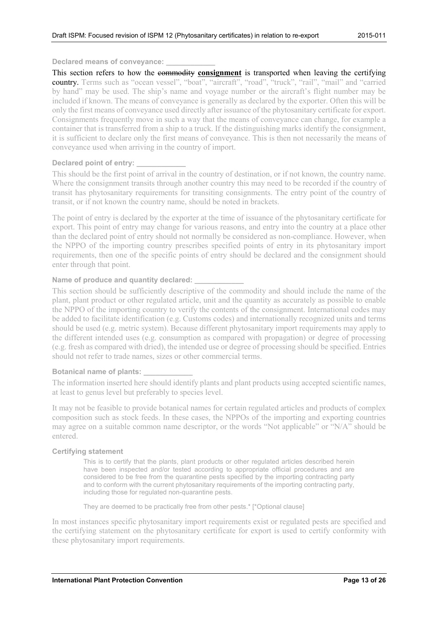#### **Declared means of conveyance: \_\_\_\_\_\_\_\_\_\_\_\_**

This section refers to how the commodity **consignment** is transported when leaving the certifying country. Terms such as "ocean vessel", "boat", "aircraft", "road", "truck", "rail", "mail" and "carried by hand" may be used. The ship's name and voyage number or the aircraft's flight number may be included if known. The means of conveyance is generally as declared by the exporter. Often this will be only the first means of conveyance used directly after issuance of the phytosanitary certificate for export. Consignments frequently move in such a way that the means of conveyance can change, for example a container that is transferred from a ship to a truck. If the distinguishing marks identify the consignment, it is sufficient to declare only the first means of conveyance. This is then not necessarily the means of conveyance used when arriving in the country of import.

#### **Declared point of entry: \_\_\_\_\_\_\_\_\_\_\_\_**

This should be the first point of arrival in the country of destination, or if not known, the country name. Where the consignment transits through another country this may need to be recorded if the country of transit has phytosanitary requirements for transiting consignments. The entry point of the country of transit, or if not known the country name, should be noted in brackets.

The point of entry is declared by the exporter at the time of issuance of the phytosanitary certificate for export. This point of entry may change for various reasons, and entry into the country at a place other than the declared point of entry should not normally be considered as non-compliance. However, when the NPPO of the importing country prescribes specified points of entry in its phytosanitary import requirements, then one of the specific points of entry should be declared and the consignment should enter through that point.

#### Name of produce and quantity declared:

This section should be sufficiently descriptive of the commodity and should include the name of the plant, plant product or other regulated article, unit and the quantity as accurately as possible to enable the NPPO of the importing country to verify the contents of the consignment. International codes may be added to facilitate identification (e.g. Customs codes) and internationally recognized units and terms should be used (e.g. metric system). Because different phytosanitary import requirements may apply to the different intended uses (e.g. consumption as compared with propagation) or degree of processing (e.g. fresh as compared with dried), the intended use or degree of processing should be specified. Entries should not refer to trade names, sizes or other commercial terms.

#### **Botanical name of plants: \_\_\_\_\_\_\_\_\_\_\_\_**

The information inserted here should identify plants and plant products using accepted scientific names, at least to genus level but preferably to species level.

It may not be feasible to provide botanical names for certain regulated articles and products of complex composition such as stock feeds. In these cases, the NPPOs of the importing and exporting countries may agree on a suitable common name descriptor, or the words "Not applicable" or "N/A" should be entered.

#### **Certifying statement**

This is to certify that the plants, plant products or other regulated articles described herein have been inspected and/or tested according to appropriate official procedures and are considered to be free from the quarantine pests specified by the importing contracting party and to conform with the current phytosanitary requirements of the importing contracting party, including those for regulated non-quarantine pests.

They are deemed to be practically free from other pests.\* [\*Optional clause]

In most instances specific phytosanitary import requirements exist or regulated pests are specified and the certifying statement on the phytosanitary certificate for export is used to certify conformity with these phytosanitary import requirements.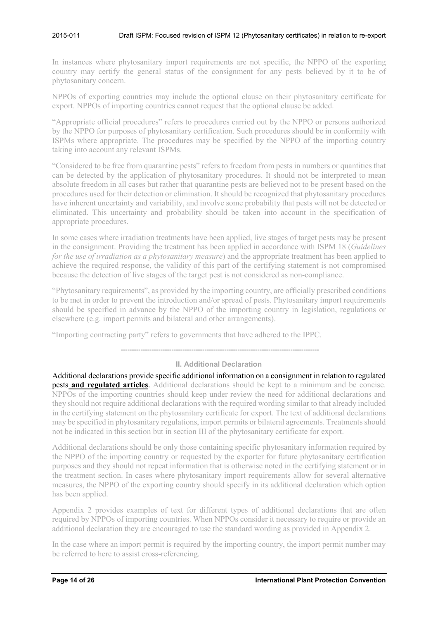In instances where phytosanitary import requirements are not specific, the NPPO of the exporting country may certify the general status of the consignment for any pests believed by it to be of phytosanitary concern.

NPPOs of exporting countries may include the optional clause on their phytosanitary certificate for export. NPPOs of importing countries cannot request that the optional clause be added.

"Appropriate official procedures" refers to procedures carried out by the NPPO or persons authorized by the NPPO for purposes of phytosanitary certification. Such procedures should be in conformity with ISPMs where appropriate. The procedures may be specified by the NPPO of the importing country taking into account any relevant ISPMs.

"Considered to be free from quarantine pests" refers to freedom from pests in numbers or quantities that can be detected by the application of phytosanitary procedures. It should not be interpreted to mean absolute freedom in all cases but rather that quarantine pests are believed not to be present based on the procedures used for their detection or elimination. It should be recognized that phytosanitary procedures have inherent uncertainty and variability, and involve some probability that pests will not be detected or eliminated. This uncertainty and probability should be taken into account in the specification of appropriate procedures.

In some cases where irradiation treatments have been applied, live stages of target pests may be present in the consignment. Providing the treatment has been applied in accordance with ISPM 18 (*Guidelines for the use of irradiation as a phytosanitary measure*) and the appropriate treatment has been applied to achieve the required response, the validity of this part of the certifying statement is not compromised because the detection of live stages of the target pest is not considered as non-compliance.

"Phytosanitary requirements", as provided by the importing country, are officially prescribed conditions to be met in order to prevent the introduction and/or spread of pests. Phytosanitary import requirements should be specified in advance by the NPPO of the importing country in legislation, regulations or elsewhere (e.g. import permits and bilateral and other arrangements).

"Importing contracting party" refers to governments that have adhered to the IPPC.

**------------------------------------------------------------------------------------------**

### **II. Additional Declaration**

Additional declarations provide specific additional information on a consignment in relation to regulated pests **and regulated articles**. Additional declarations should be kept to a minimum and be concise. NPPOs of the importing countries should keep under review the need for additional declarations and they should not require additional declarations with the required wording similar to that already included in the certifying statement on the phytosanitary certificate for export. The text of additional declarations may be specified in phytosanitary regulations, import permits or bilateral agreements. Treatments should not be indicated in this section but in section III of the phytosanitary certificate for export.

Additional declarations should be only those containing specific phytosanitary information required by the NPPO of the importing country or requested by the exporter for future phytosanitary certification purposes and they should not repeat information that is otherwise noted in the certifying statement or in the treatment section. In cases where phytosanitary import requirements allow for several alternative measures, the NPPO of the exporting country should specify in its additional declaration which option has been applied.

Appendix 2 provides examples of text for different types of additional declarations that are often required by NPPOs of importing countries. When NPPOs consider it necessary to require or provide an additional declaration they are encouraged to use the standard wording as provided in Appendix 2.

In the case where an import permit is required by the importing country, the import permit number may be referred to here to assist cross-referencing.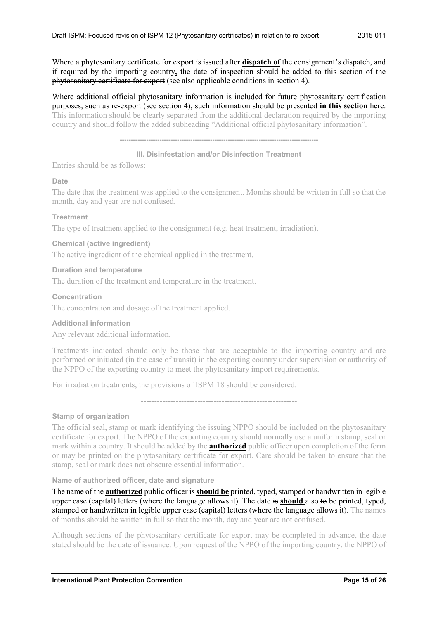Where a phytosanitary certificate for export is issued after **dispatch of** the consignment's dispatch, and if required by the importing country**,** the date of inspection should be added to this section of the phytosanitary certificate for export (see also applicable conditions in section 4).

Where additional official phytosanitary information is included for future phytosanitary certification purposes, such as re-export (see section 4), such information should be presented **in this section** here. This information should be clearly separated from the additional declaration required by the importing country and should follow the added subheading "Additional official phytosanitary information".

**------------------------------------------------------------------------------------------**

### **III. Disinfestation and/or Disinfection Treatment**

Entries should be as follows:

### **Date**

The date that the treatment was applied to the consignment. Months should be written in full so that the month, day and year are not confused.

#### **Treatment**

The type of treatment applied to the consignment (e.g. heat treatment, irradiation).

#### **Chemical (active ingredient)**

The active ingredient of the chemical applied in the treatment.

#### **Duration and temperature**

The duration of the treatment and temperature in the treatment.

#### **Concentration**

The concentration and dosage of the treatment applied.

#### **Additional information**

Any relevant additional information.

Treatments indicated should only be those that are acceptable to the importing country and are performed or initiated (in the case of transit) in the exporting country under supervision or authority of the NPPO of the exporting country to meet the phytosanitary import requirements.

For irradiation treatments, the provisions of ISPM 18 should be considered.

----------------------------------------------------------

#### **Stamp of organization**

The official seal, stamp or mark identifying the issuing NPPO should be included on the phytosanitary certificate for export. The NPPO of the exporting country should normally use a uniform stamp, seal or mark within a country. It should be added by the **authorized** public officer upon completion of the form or may be printed on the phytosanitary certificate for export. Care should be taken to ensure that the stamp, seal or mark does not obscure essential information.

#### **Name of authorized officer, date and signature**

The name of the **authorized** public officer is **should be** printed, typed, stamped or handwritten in legible upper case (capital) letters (where the language allows it). The date is **should** also to be printed, typed, stamped or handwritten in legible upper case (capital) letters (where the language allows it). The names of months should be written in full so that the month, day and year are not confused.

Although sections of the phytosanitary certificate for export may be completed in advance, the date stated should be the date of issuance. Upon request of the NPPO of the importing country, the NPPO of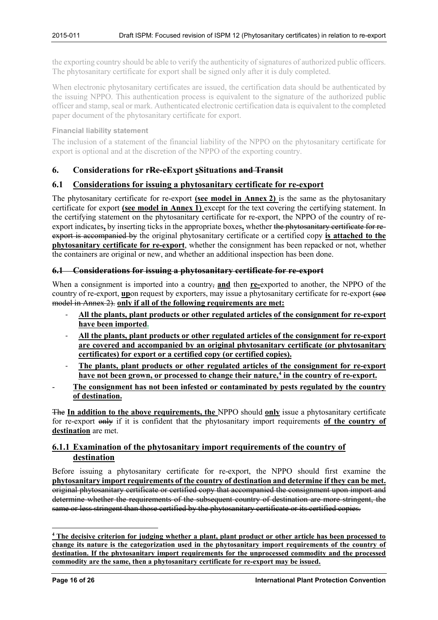the exporting country should be able to verify the authenticity of signatures of authorized public officers. The phytosanitary certificate for export shall be signed only after it is duly completed.

When electronic phytosanitary certificates are issued, the certification data should be authenticated by the issuing NPPO. This authentication process is equivalent to the signature of the authorized public officer and stamp, seal or mark. Authenticated electronic certification data is equivalent to the completed paper document of the phytosanitary certificate for export.

#### **Financial liability statement**

The inclusion of a statement of the financial liability of the NPPO on the phytosanitary certificate for export is optional and at the discretion of the NPPO of the exporting country.

### <span id="page-15-0"></span>**6. Considerations for rRe-eExport sSituations and Transit**

### <span id="page-15-1"></span>**6.1 Considerations for issuing a phytosanitary certificate for re-export**

The phytosanitary certificate for re-export **(see model in Annex 2)** is the same as the phytosanitary certificate for export **(see model in Annex 1)** except for the text covering the certifying statement. In the certifying statement on the phytosanitary certificate for re-export, the NPPO of the country of reexport indicates**,** by inserting ticks in the appropriate boxes**,** whether the phytosanitary certificate for reexport is accompanied by the original phytosanitary certificate or a certified copy **is attached to the phytosanitary certificate for re-export**, whether the consignment has been repacked or not, whether the containers are original or new, and whether an additional inspection has been done.

### **6.1 Considerations for issuing a phytosanitary certificate for re-export**

When a consignment is imported into a country, **and** then **re-**exported to another, the NPPO of the country of re-export, **up**on request by exporters, may issue a phytosanitary certificate for re-export (see model in Annex 2). only if all of the following requirements are met:

- ‐ **All the plants, plant products or other regulated articles of the consignment for re-export have been imported.**
- ‐ **All the plants, plant products or other regulated articles of the consignment for re-export are covered and accompanied by an original phytosanitary certificate (or phytosanitary certificates) for export or a certified copy (or certified copies).**
- ‐ **The plants, plant products or other regulated articles of the consignment for re-export have not been grown, or processed to change their nature, [4](#page-15-3) in the country of re-export.**
- **The consignment has not been infested or contaminated by pests regulated by the country of destination.**

The **In addition to the above requirements, the** NPPO should **only** issue a phytosanitary certificate for re-export only if it is confident that the phytosanitary import requirements **of the country of destination** are met.

# <span id="page-15-2"></span>**6.1.1 Examination of the phytosanitary import requirements of the country of destination**

Before issuing a phytosanitary certificate for re-export, the NPPO should first examine the **phytosanitary import requirements of the country of destination and determine if they can be met.** original phytosanitary certificate or certified copy that accompanied the consignment upon import and determine whether the requirements of the subsequent country of destination are more stringent, the same or less stringent than those certified by the phytosanitary certificate or its certified copies.

<u>.</u>

<span id="page-15-3"></span>**<sup>4</sup> The decisive criterion for judging whether a plant, plant product or other article has been processed to change its nature is the categorization used in the phytosanitary import requirements of the country of destination. If the phytosanitary import requirements for the unprocessed commodity and the processed commodity are the same, then a phytosanitary certificate for re-export may be issued.**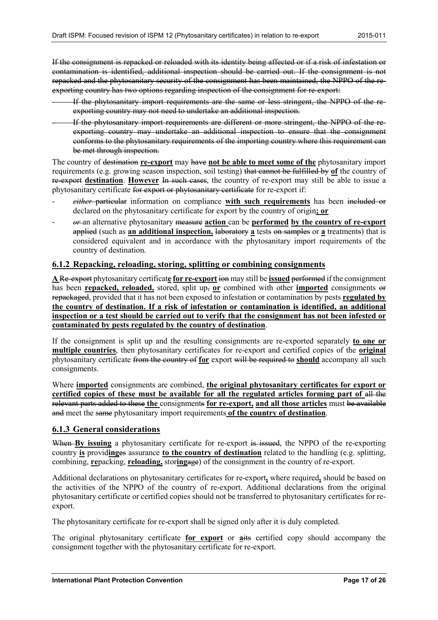If the consignment is repacked or reloaded with its identity being affected or if a risk of infestation or contamination is identified, additional inspection should be carried out. If the consignment is not repacked and the phytosanitary security of the consignment has been maintained, the NPPO of the reexporting country has two options regarding inspection of the consignment for re-export:

- If the phytosanitary import requirements are the same or less stringent, the NPPO of the reexporting country may not need to undertake an additional inspection.
- If the phytosanitary import requirements are different or more stringent, the NPPO of the reexporting country may undertake an additional inspection to ensure that the consignment conforms to the phytosanitary requirements of the importing country where this requirement can be met through inspection.

The country of destination **re-export** may have **not be able to meet some of the** phytosanitary import requirements (e.g. growing season inspection, soil testing) that cannot be fulfilled by **of** the country of re-export **destination**. **However** In such cases, the country of re-export may still be able to issue a phytosanitary certificate for export or phytosanitary certificate for re-export if:

- *either* particular information on compliance **with such requirements** has been included or declared on the phytosanitary certificate for export by the country of origin**; or**
- *or* an alternative phytosanitary measure **action** can be **performed by the country of re-export** applied (such as **an additional inspection,** laboratory **a** tests on samples or **a** treatments) that is considered equivalent and in accordance with the phytosanitary import requirements of the country of destination.

# <span id="page-16-0"></span>**6.1.2 Repacking, reloading, storing, splitting or combining consignments**

**A** Re-export phytosanitary certificat**e for re-export** ion may still be **issued** performed if the consignment has been **repacked, reloaded,** stored, split up, or combined with other **imported** consignments or repackaged, provided that it has not been exposed to infestation or contamination by pests **regulated by the country of destination. If a risk of infestation or contamination is identified, an additional inspection or a test should be carried out to verify that the consignment has not been infested or contaminated by pests regulated by the country of destination**.

If the consignment is split up and the resulting consignments are re-exported separately **to one or multiple countries**, then phytosanitary certificates for re-export and certified copies of the **original** phytosanitary certificate from the country of **for** export will be required to **should** accompany all such consignments.

Where **imported** consignments are combined, **the original phytosanitary certificates for export or certified copies of these must be available for all the regulated articles forming part of** all the relevant parts added to these **the** consignments **for re-export, and all those articles** must be available and meet the same phytosanitary import requirements **of the country of destination**.

# <span id="page-16-1"></span>**6.1.3 General considerations**

When **By issuing** a phytosanitary certificate for re-export is issued, the NPPO of the re-exporting country **is** provid**ing**es assurance **to the country of destination** related to the handling (e.g. splitting, combining, **re**packing, **reloading,** stor**ing**age) of the consignment in the country of re-export.

Additional declarations on phytosanitary certificates for re-export**,** where required**,** should be based on the activities of the NPPO of the country of re-export. Additional declarations from the original phytosanitary certificate or certified copies should not be transferred to phytosanitary certificates for reexport.

The phytosanitary certificate for re-export shall be signed only after it is duly completed.

The original phytosanitary certificate **for export** or **a**its certified copy should accompany the consignment together with the phytosanitary certificate for re-export.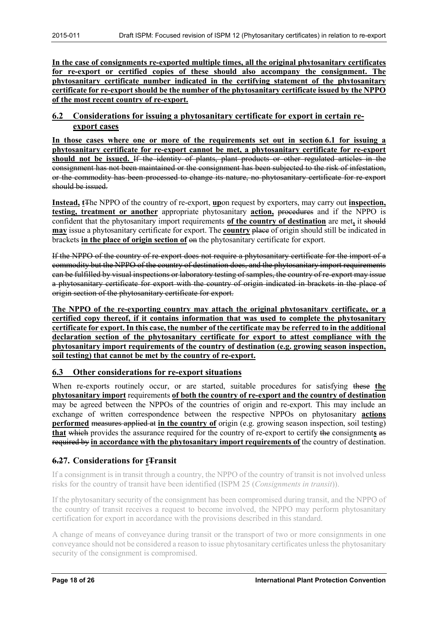**In the case of consignments re-exported multiple times, all the original phytosanitary certificates for re-export or certified copies of these should also accompany the consignment. The phytosanitary certificate number indicated in the certifying statement of the phytosanitary certificate for re-export should be the number of the phytosanitary certificate issued by the NPPO of the most recent country of re-export.**

# <span id="page-17-0"></span>**6.2 Considerations for issuing a phytosanitary certificate for export in certain reexport cases**

**In those cases where one or more of the requirements set out in section 6.1 for issuing a phytosanitary certificate for re-export cannot be met, a phytosanitary certificate for re-export should not be issued.** If the identity of plants, plant products or other regulated articles in the consignment has not been maintained or the consignment has been subjected to the risk of infestation, or the commodity has been processed to change its nature, no phytosanitary certificate for re-export should be issued.

**Instead, t**The NPPO of the country of re-export, **up**on request by exporters, may carry out **inspection, testing, treatment or another** appropriate phytosanitary **action,** procedures and if the NPPO is confident that the phytosanitary import requirements **of the country of destination** are met**,** it should **may** issue a phytosanitary certificate for export. The **country** place of origin should still be indicated in brackets **in the place of origin section of** on the phytosanitary certificate for export.

If the NPPO of the country of re-export does not require a phytosanitary certificate for the import of a commodity but the NPPO of the country of destination does, and the phytosanitary import requirements can be fulfilled by visual inspections or laboratory testing of samples, the country of re-export may issue a phytosanitary certificate for export with the country of origin indicated in brackets in the place of origin section of the phytosanitary certificate for export.

**The NPPO of the re-exporting country may attach the original phytosanitary certificate, or a certified copy thereof, if it contains information that was used to complete the phytosanitary certificate for export. In this case, the number of the certificate may be referred to in the additional declaration section of the phytosanitary certificate for export to attest compliance with the phytosanitary import requirements of the country of destination (e.g. growing season inspection, soil testing) that cannot be met by the country of re-export.**

# <span id="page-17-1"></span>**6.3 Other considerations for re-export situations**

When re-exports routinely occur, or are started, suitable procedures for satisfying these the **phytosanitary import** requirements **of both the country of re-export and the country of destination** may be agreed between the NPPOs of the countries of origin and re-export. This may include an exchange of written correspondence between the respective NPPOs on phytosanitary **actions performed** measures applied at **in the country of** origin (e.g. growing season inspection, soil testing) **that** which provides the assurance required for the country of re-export to certify the consignment**s** as required by **in accordance with the phytosanitary import requirements of** the country of destination.

# <span id="page-17-2"></span>**6.27.** Considerations for **t**Transit

If a consignment is in transit through a country, the NPPO of the country of transit is not involved unless risks for the country of transit have been identified (ISPM 25 (*Consignments in transit*)).

If the phytosanitary security of the consignment has been compromised during transit, and the NPPO of the country of transit receives a request to become involved, the NPPO may perform phytosanitary certification for export in accordance with the provisions described in this standard.

A change of means of conveyance during transit or the transport of two or more consignments in one conveyance should not be considered a reason to issue phytosanitary certificates unless the phytosanitary security of the consignment is compromised.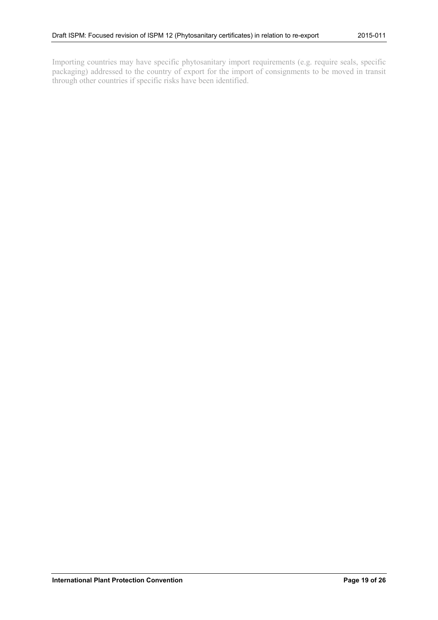Importing countries may have specific phytosanitary import requirements (e.g. require seals, specific packaging) addressed to the country of export for the import of consignments to be moved in transit through other countries if specific risks have been identified.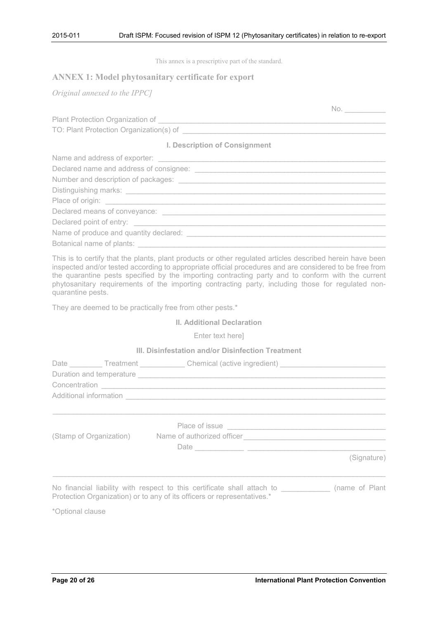This annex is a prescriptive part of the standard.

## <span id="page-19-0"></span>**ANNEX 1: Model phytosanitary certificate for export**

*Original annexed to the IPPC]*

| Plant Protection Organization of        |  |
|-----------------------------------------|--|
| TO: Plant Protection Organization(s) of |  |

**I. Description of Consignment**

| Declared means of conveyance:          |
|----------------------------------------|
| Declared point of entry: _______       |
| Name of produce and quantity declared: |
| Botanical name of plants:              |

This is to certify that the plants, plant products or other regulated articles described herein have been inspected and/or tested according to appropriate official procedures and are considered to be free from the quarantine pests specified by the importing contracting party and to conform with the current phytosanitary requirements of the importing contracting party, including those for regulated nonquarantine pests.

They are deemed to be practically free from other pests.\*

#### **II. Additional Declaration**

Enter text here]

### **III. Disinfestation and/or Disinfection Treatment**

|  | Additional information <b>Additional Contract of Additional Contract of Additional Contract of Additional Contract of Additional Contract of Additional Contract of Additional Contract of Additional Contract of Additional Con</b> |             |
|--|--------------------------------------------------------------------------------------------------------------------------------------------------------------------------------------------------------------------------------------|-------------|
|  |                                                                                                                                                                                                                                      |             |
|  |                                                                                                                                                                                                                                      |             |
|  | (Stamp of Organization) Name of authorized officer [19] Name of authorized officer                                                                                                                                                   |             |
|  |                                                                                                                                                                                                                                      |             |
|  |                                                                                                                                                                                                                                      | (Signature) |
|  |                                                                                                                                                                                                                                      |             |
|  | No financial liability with respect to this certificate shall attach to _____________ (name of Plant<br>Protection Organization) or to any of its officers or representatives.*                                                      |             |

\*Optional clause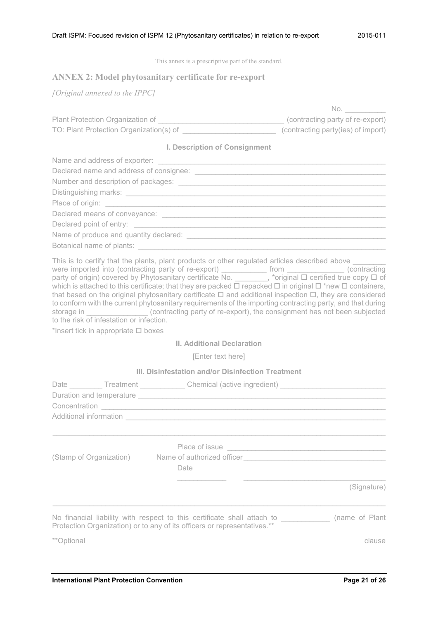|  | This annex is a prescriptive part of the standard. |  |  |
|--|----------------------------------------------------|--|--|
|  |                                                    |  |  |

# <span id="page-20-0"></span>**ANNEX 2: Model phytosanitary certificate for re-export**

*[Original annexed to the IPPC]*

| Plant Protection Organization of        | (contracting party of re-export)   |
|-----------------------------------------|------------------------------------|
| TO: Plant Protection Organization(s) of | (contracting party(ies) of import) |

**I. Description of Consignment**

| Name of produce and quantity declared: Name of products |
|---------------------------------------------------------|
| Botanical name of plants: _________________             |
|                                                         |

| This is to certify that the plants, plant products or other regulated articles described above                                                                                                                                 |                                                                          |               |
|--------------------------------------------------------------------------------------------------------------------------------------------------------------------------------------------------------------------------------|--------------------------------------------------------------------------|---------------|
| were imported into (contracting party of re-export)                                                                                                                                                                            | from                                                                     | (contracting) |
| party of origin) covered by Phytosanitary certificate No. , *original $\Box$ certified true copy $\Box$ of                                                                                                                     |                                                                          |               |
| which is attached to this certificate; that they are packed $\Box$ repacked $\Box$ in original $\Box$ *new $\Box$ containers,                                                                                                  |                                                                          |               |
| that based on the original phytosanitary certificate $\Box$ and additional inspection $\Box$ , they are considered                                                                                                             |                                                                          |               |
| to conform with the current phytosanitary requirements of the importing contracting party, and that during                                                                                                                     |                                                                          |               |
| storage in the storage of the storage of the storage of the storage of the storage of the storage of the storage of the storage of the storage of the storage of the storage of the storage of the storage of the storage of t | (contracting party of re-export), the consignment has not been subjected |               |
| to the risk of infestation or infection.                                                                                                                                                                                       |                                                                          |               |

\*Insert tick in appropriate  $\square$  boxes

# **II. Additional Declaration**

[Enter text here]

#### **III. Disinfestation and/or Disinfection Treatment**

|                    | Date __________ Treatment _____________ Chemical (active ingredient) __________________                                                                                                                                                                                                                                                                       |
|--------------------|---------------------------------------------------------------------------------------------------------------------------------------------------------------------------------------------------------------------------------------------------------------------------------------------------------------------------------------------------------------|
|                    | Place of issue <b>contract to the contract of the contract of the contract of the contract of the contract of the contract of the contract of the contract of the contract of the contract of the contract of the contract of th</b><br>(Stamp of Organization) Name of authorized officer Change and Changes and Changes and Changes and Changes and<br>Date |
| <i>**</i> Optional | (Signature)<br>No financial liability with respect to this certificate shall attach to _____________ (name of Plant<br>Protection Organization) or to any of its officers or representatives.**<br>clause                                                                                                                                                     |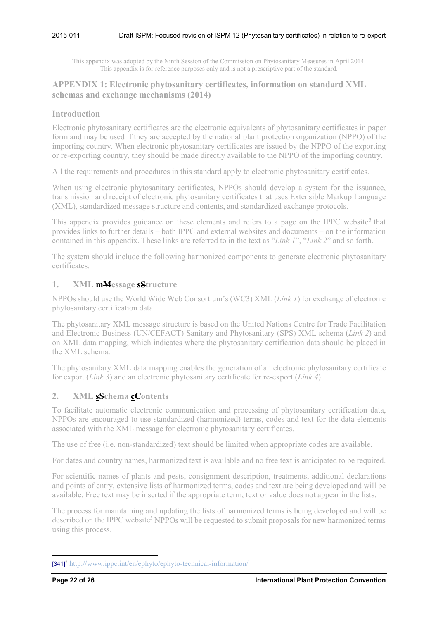This appendix was adopted by the Ninth Session of the Commission on Phytosanitary Measures in April 2014. This appendix is for reference purposes only and is not a prescriptive part of the standard.

# <span id="page-21-0"></span>**APPENDIX 1: Electronic phytosanitary certificates, information on standard XML schemas and exchange mechanisms (2014)**

### <span id="page-21-1"></span>**Introduction**

Electronic phytosanitary certificates are the electronic equivalents of phytosanitary certificates in paper form and may be used if they are accepted by the national plant protection organization (NPPO) of the importing country. When electronic phytosanitary certificates are issued by the NPPO of the exporting or re-exporting country, they should be made directly available to the NPPO of the importing country.

All the requirements and procedures in this standard apply to electronic phytosanitary certificates.

When using electronic phytosanitary certificates, NPPOs should develop a system for the issuance, transmission and receipt of electronic phytosanitary certificates that uses Extensible Markup Language (XML), standardized message structure and contents, and standardized exchange protocols.

<span id="page-21-4"></span>This appendix provides guidance on these elements and refers to a page on the IPPC website<sup>[5](#page-21-5)</sup> that provides links to further details – both IPPC and external websites and documents – on the information contained in this appendix. These links are referred to in the text as "*Link 1*", "*Link 2*" and so forth.

The system should include the following harmonized components to generate electronic phytosanitary certificates.

### <span id="page-21-2"></span>**1. XML mMessage sStructure**

NPPOs should use the World Wide Web Consortium's (WC3) XML (*Link 1*) for exchange of electronic phytosanitary certification data.

The phytosanitary XML message structure is based on the United Nations Centre for Trade Facilitation and Electronic Business (UN/CEFACT) Sanitary and Phytosanitary (SPS) XML schema (*Link 2*) and on XML data mapping, which indicates where the phytosanitary certification data should be placed in the XML schema.

The phytosanitary XML data mapping enables the generation of an electronic phytosanitary certificate for export (*Link 3*) and an electronic phytosanitary certificate for re-export (*Link 4*).

# <span id="page-21-3"></span>**2. XML sSchema cContents**

To facilitate automatic electronic communication and processing of phytosanitary certification data, NPPOs are encouraged to use standardized (harmonized) terms, codes and text for the data elements associated with the XML message for electronic phytosanitary certificates.

The use of free (i.e. non-standardized) text should be limited when appropriate codes are available.

For dates and country names, harmonized text is available and no free text is anticipated to be required.

For scientific names of plants and pests, consignment description, treatments, additional declarations and points of entry, extensive lists of harmonized terms, codes and text are being developed and will be available. Free text may be inserted if the appropriate term, text or value does not appear in the lists.

The process for maintaining and updating the lists of harmonized terms is being developed and will be described on the IPPC website<sup>5</sup> NPPOs will be requested to submit proposals for new harmonized terms using this process.

<u>.</u>

<span id="page-21-5"></span><sup>[341]&</sup>lt;sup>5</sup> <http://www.ippc.int/en/ephyto/ephyto-technical-information/>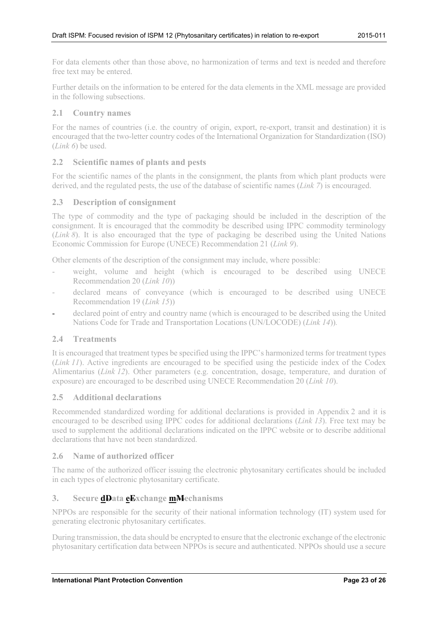For data elements other than those above, no harmonization of terms and text is needed and therefore free text may be entered.

Further details on the information to be entered for the data elements in the XML message are provided in the following subsections.

# <span id="page-22-0"></span>**2.1 Country names**

For the names of countries (i.e. the country of origin, export, re-export, transit and destination) it is encouraged that the two-letter country codes of the International Organization for Standardization (ISO) (*Link 6*) be used.

# <span id="page-22-1"></span>**2.2 Scientific names of plants and pests**

For the scientific names of the plants in the consignment, the plants from which plant products were derived, and the regulated pests, the use of the database of scientific names (*Link 7*) is encouraged.

# <span id="page-22-2"></span>**2.3 Description of consignment**

The type of commodity and the type of packaging should be included in the description of the consignment. It is encouraged that the commodity be described using IPPC commodity terminology (*Link 8*). It is also encouraged that the type of packaging be described using the United Nations Economic Commission for Europe (UNECE) Recommendation 21 (*Link 9*).

Other elements of the description of the consignment may include, where possible:

- weight, volume and height (which is encouraged to be described using UNECE Recommendation 20 (*Link 10*))
- declared means of conveyance (which is encouraged to be described using UNECE Recommendation 19 (*Link 15*))
- declared point of entry and country name (which is encouraged to be described using the United Nations Code for Trade and Transportation Locations (UN/LOCODE) (*Link 14*))*.*

# <span id="page-22-3"></span>**2.4 Treatments**

It is encouraged that treatment types be specified using the IPPC's harmonized terms for treatment types (*Link 11*). Active ingredients are encouraged to be specified using the pesticide index of the Codex Alimentarius (*Link 12*). Other parameters (e.g. concentration, dosage, temperature, and duration of exposure) are encouraged to be described using UNECE Recommendation 20 (*Link 10*).

# <span id="page-22-4"></span>**2.5 Additional declarations**

Recommended standardized wording for additional declarations is provided in Appendix 2 and it is encouraged to be described using IPPC codes for additional declarations (*Link 13*). Free text may be used to supplement the additional declarations indicated on the IPPC website or to describe additional declarations that have not been standardized.

# <span id="page-22-5"></span>**2.6 Name of authorized officer**

The name of the authorized officer issuing the electronic phytosanitary certificates should be included in each types of electronic phytosanitary certificate.

# <span id="page-22-6"></span>**3. Secure dData eExchange mMechanisms**

NPPOs are responsible for the security of their national information technology (IT) system used for generating electronic phytosanitary certificates.

During transmission, the data should be encrypted to ensure that the electronic exchange of the electronic phytosanitary certification data between NPPOs is secure and authenticated. NPPOs should use a secure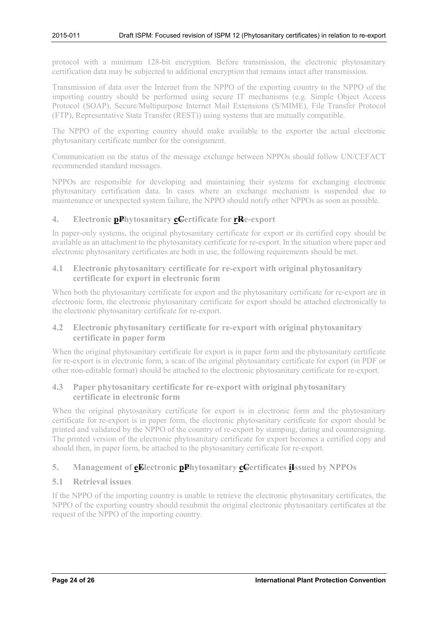protocol with a minimum 128-bit encryption. Before transmission, the electronic phytosanitary certification data may be subjected to additional encryption that remains intact after transmission.

Transmission of data over the Internet from the NPPO of the exporting country to the NPPO of the importing country should be performed using secure IT mechanisms (e.g. Simple Object Access Protocol (SOAP), Secure/Multipurpose Internet Mail Extensions (S/MIME), File Transfer Protocol (FTP), Representative State Transfer (REST)) using systems that are mutually compatible.

The NPPO of the exporting country should make available to the exporter the actual electronic phytosanitary certificate number for the consignment.

Communication on the status of the message exchange between NPPOs should follow UN/CEFACT recommended standard messages.

NPPOs are responsible for developing and maintaining their systems for exchanging electronic phytosanitary certification data. In cases where an exchange mechanism is suspended due to maintenance or unexpected system failure, the NPPO should notify other NPPOs as soon as possible.

# <span id="page-23-0"></span>**4. Electronic pPhytosanitary cCertificate for rRe-export**

In paper-only systems, the original phytosanitary certificate for export or its certified copy should be available as an attachment to the phytosanitary certificate for re-export. In the situation where paper and electronic phytosanitary certificates are both in use, the following requirements should be met.

# <span id="page-23-1"></span>**4.1 Electronic phytosanitary certificate for re-export with original phytosanitary certificate for export in electronic form**

When both the phytosanitary certificate for export and the phytosanitary certificate for re-export are in electronic form, the electronic phytosanitary certificate for export should be attached electronically to the electronic phytosanitary certificate for re-export.

# <span id="page-23-2"></span>**4.2 Electronic phytosanitary certificate for re-export with original phytosanitary certificate in paper form**

When the original phytosanitary certificate for export is in paper form and the phytosanitary certificate for re-export is in electronic form, a scan of the original phytosanitary certificate for export (in PDF or other non-editable format) should be attached to the electronic phytosanitary certificate for re-export.

# <span id="page-23-3"></span>**4.3 Paper phytosanitary certificate for re-export with original phytosanitary certificate in electronic form**

When the original phytosanitary certificate for export is in electronic form and the phytosanitary certificate for re-export is in paper form, the electronic phytosanitary certificate for export should be printed and validated by the NPPO of the country of re-export by stamping, dating and countersigning. The printed version of the electronic phytosanitary certificate for export becomes a certified copy and should then, in paper form, be attached to the phytosanitary certificate for re-export.

# <span id="page-23-4"></span>**5. Management of eElectronic pPhytosanitary cCertificates iIssued by NPPOs**

# <span id="page-23-5"></span>**5.1 Retrieval issues**

If the NPPO of the importing country is unable to retrieve the electronic phytosanitary certificates, the NPPO of the exporting country should resubmit the original electronic phytosanitary certificates at the request of the NPPO of the importing country.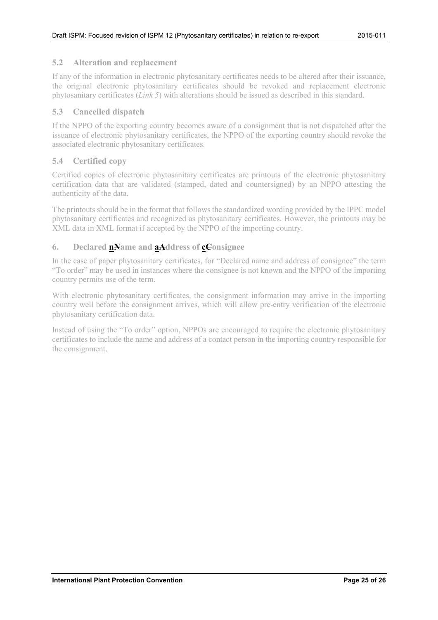### <span id="page-24-0"></span>**5.2 Alteration and replacement**

If any of the information in electronic phytosanitary certificates needs to be altered after their issuance, the original electronic phytosanitary certificates should be revoked and replacement electronic phytosanitary certificates (*Link 5*) with alterations should be issued as described in this standard.

### <span id="page-24-1"></span>**5.3 Cancelled dispatch**

If the NPPO of the exporting country becomes aware of a consignment that is not dispatched after the issuance of electronic phytosanitary certificates, the NPPO of the exporting country should revoke the associated electronic phytosanitary certificates.

# <span id="page-24-2"></span>**5.4 Certified copy**

Certified copies of electronic phytosanitary certificates are printouts of the electronic phytosanitary certification data that are validated (stamped, dated and countersigned) by an NPPO attesting the authenticity of the data.

The printouts should be in the format that follows the standardized wording provided by the IPPC model phytosanitary certificates and recognized as phytosanitary certificates. However, the printouts may be XML data in XML format if accepted by the NPPO of the importing country.

# <span id="page-24-3"></span>**6. Declared nName and aAddress of cConsignee**

In the case of paper phytosanitary certificates, for "Declared name and address of consignee" the term "To order" may be used in instances where the consignee is not known and the NPPO of the importing country permits use of the term.

With electronic phytosanitary certificates, the consignment information may arrive in the importing country well before the consignment arrives, which will allow pre-entry verification of the electronic phytosanitary certification data.

Instead of using the "To order" option, NPPOs are encouraged to require the electronic phytosanitary certificates to include the name and address of a contact person in the importing country responsible for the consignment.